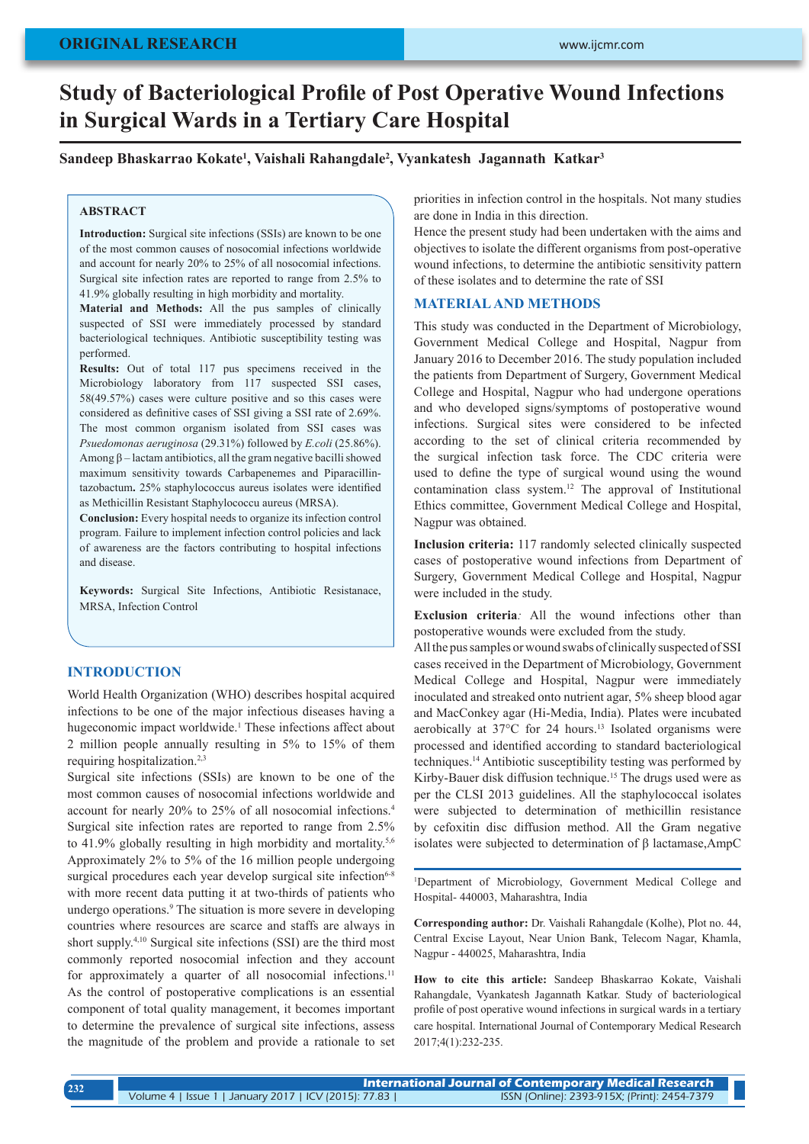# **Study of Bacteriological Profile of Post Operative Wound Infections in Surgical Wards in a Tertiary Care Hospital**

**Sandeep Bhaskarrao Kokate<sup>1</sup> , Vaishali Rahangdale<sup>2</sup> , Vyankatesh Jagannath Katkar<sup>3</sup>**

### **ABSTRACT**

**Introduction:** Surgical site infections (SSIs) are known to be one of the most common causes of nosocomial infections worldwide and account for nearly 20% to 25% of all nosocomial infections. Surgical site infection rates are reported to range from 2.5% to 41.9% globally resulting in high morbidity and mortality.

**Material and Methods:** All the pus samples of clinically suspected of SSI were immediately processed by standard bacteriological techniques. Antibiotic susceptibility testing was performed.

**Results:** Out of total 117 pus specimens received in the Microbiology laboratory from 117 suspected SSI cases, 58(49.57%) cases were culture positive and so this cases were considered as definitive cases of SSI giving a SSI rate of 2.69%. The most common organism isolated from SSI cases was *Psuedomonas aeruginosa* (29.31%) followed by *E.coli* (25.86%). Among β – lactam antibiotics, all the gram negative bacilli showed maximum sensitivity towards Carbapenemes and Piparacillintazobactum**.** 25% staphylococcus aureus isolates were identified as Methicillin Resistant Staphylococcu aureus (MRSA).

**Conclusion:** Every hospital needs to organize its infection control program. Failure to implement infection control policies and lack of awareness are the factors contributing to hospital infections and disease.

**Keywords:** Surgical Site Infections, Antibiotic Resistanace, MRSA, Infection Control

# **INTRODUCTION**

World Health Organization (WHO) describes hospital acquired infections to be one of the major infectious diseases having a hugeconomic impact worldwide.<sup>1</sup> These infections affect about 2 million people annually resulting in 5% to 15% of them requiring hospitalization.<sup>2,3</sup>

Surgical site infections (SSIs) are known to be one of the most common causes of nosocomial infections worldwide and account for nearly 20% to 25% of all nosocomial infections.4 Surgical site infection rates are reported to range from 2.5% to 41.9% globally resulting in high morbidity and mortality.<sup>5,6</sup> Approximately 2% to 5% of the 16 million people undergoing surgical procedures each year develop surgical site infection<sup>6-8</sup> with more recent data putting it at two-thirds of patients who undergo operations.9 The situation is more severe in developing countries where resources are scarce and staffs are always in short supply.4,10 Surgical site infections (SSI) are the third most commonly reported nosocomial infection and they account for approximately a quarter of all nosocomial infections.<sup>11</sup> As the control of postoperative complications is an essential component of total quality management, it becomes important to determine the prevalence of surgical site infections, assess the magnitude of the problem and provide a rationale to set

priorities in infection control in the hospitals. Not many studies are done in India in this direction.

Hence the present study had been undertaken with the aims and objectives to isolate the different organisms from post-operative wound infections, to determine the antibiotic sensitivity pattern of these isolates and to determine the rate of SSI

## **MATERIAL AND METHODS**

This study was conducted in the Department of Microbiology, Government Medical College and Hospital, Nagpur from January 2016 to December 2016. The study population included the patients from Department of Surgery, Government Medical College and Hospital, Nagpur who had undergone operations and who developed signs/symptoms of postoperative wound infections. Surgical sites were considered to be infected according to the set of clinical criteria recommended by the surgical infection task force. The CDC criteria were used to define the type of surgical wound using the wound contamination class system.12 The approval of Institutional Ethics committee, Government Medical College and Hospital, Nagpur was obtained.

**Inclusion criteria:** 117 randomly selected clinically suspected cases of postoperative wound infections from Department of Surgery, Government Medical College and Hospital, Nagpur were included in the study.

**Exclusion criteria***:* All the wound infections other than postoperative wounds were excluded from the study.

All the pus samples or wound swabs of clinically suspected of SSI cases received in the Department of Microbiology, Government Medical College and Hospital, Nagpur were immediately inoculated and streaked onto nutrient agar, 5% sheep blood agar and MacConkey agar (Hi-Media, India). Plates were incubated aerobically at 37°C for 24 hours.13 Isolated organisms were processed and identified according to standard bacteriological techniques.14 Antibiotic susceptibility testing was performed by Kirby-Bauer disk diffusion technique.<sup>15</sup> The drugs used were as per the CLSI 2013 guidelines. All the staphylococcal isolates were subjected to determination of methicillin resistance by cefoxitin disc diffusion method. All the Gram negative isolates were subjected to determination of β lactamase,AmpC

1 Department of Microbiology, Government Medical College and Hospital- 440003, Maharashtra, India

**Corresponding author:** Dr. Vaishali Rahangdale (Kolhe), Plot no. 44, Central Excise Layout, Near Union Bank, Telecom Nagar, Khamla, Nagpur - 440025, Maharashtra, India

**How to cite this article:** Sandeep Bhaskarrao Kokate, Vaishali Rahangdale, Vyankatesh Jagannath Katkar. Study of bacteriological profile of post operative wound infections in surgical wards in a tertiary care hospital. International Journal of Contemporary Medical Research 2017;4(1):232-235.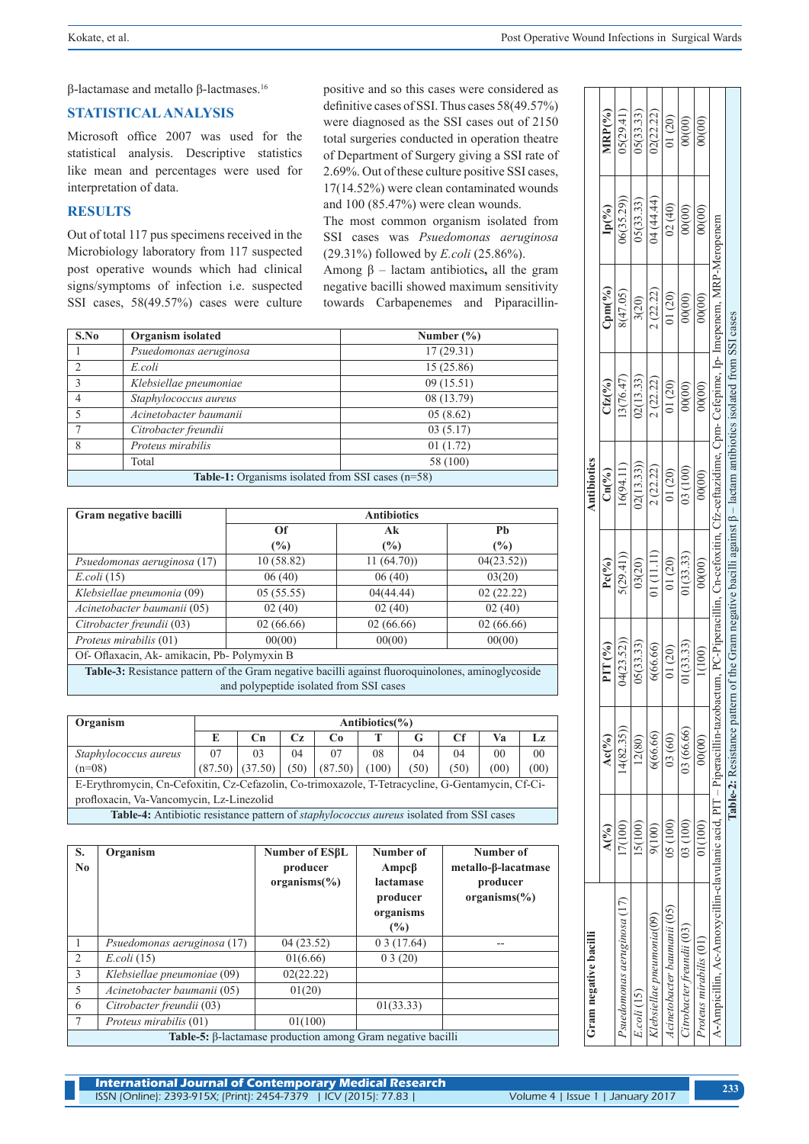β-lactamase and metallo β-lactmases.16

## **STATISTICAL ANALYSIS**

Microsoft office 2007 was used for the statistical analysis. Descriptive statistics like mean and percentages were used for interpretation of data.

# **RESULTS**

Out of total 117 pus specimens received in the Microbiology laboratory from 117 suspected post operative wounds which had clinical signs/symptoms of infection i.e. suspected SSI cases, 58(49.57%) cases were culture positive and so this cases were considered as definitive cases of SSI. Thus cases 58(49.57%) were diagnosed as the SSI cases out of 2150 total surgeries conducted in operation theatre of Department of Surgery giving a SSI rate of 2.69%. Out of these culture positive SSI cases, 17(14.52%) were clean contaminated wounds and 100 (85.47%) were clean wounds.

The most common organism isolated from SSI cases was *Psuedomonas aeruginosa*  (29.31%) followed by *E.coli* (25.86%).

Among β – lactam antibiotics**,** all the gram negative bacilli showed maximum sensitivity towards Carbapenemes and Piparacillin-

| S.No           | <b>Organism</b> isolated                                   | Number $(\% )$ |
|----------------|------------------------------------------------------------|----------------|
|                | Psuedomonas aeruginosa                                     | 17(29.31)      |
| $\overline{2}$ | E.coli                                                     | 15(25.86)      |
| 3              | Klebsiellae pneumoniae                                     | 09(15.51)      |
| 4              | Staphylococcus aureus                                      | 08 (13.79)     |
| 5              | Acinetobacter baumanii                                     | 05(8.62)       |
|                | Citrobacter freundii                                       | 03(5.17)       |
| 8              | Proteus mirabilis                                          | 01(1.72)       |
|                | Total                                                      | 58 (100)       |
|                | <b>Table 1:</b> Organisms isolated from SSI cases $(n=58)$ |                |

# **Table-1:** Organisms isolated from SSI cases (n=58)

| Gram negative bacilli                       | <b>Antibiotics</b> |           |           |  |  |  |
|---------------------------------------------|--------------------|-----------|-----------|--|--|--|
|                                             | Of                 | Ak        | Pb        |  |  |  |
|                                             | $\frac{1}{2}$      | $(\%)$    | (%)       |  |  |  |
| Psuedomonas aeruginosa (17)                 | 10(58.82)          | 11(64.70) | 04(23.52) |  |  |  |
| E. coli (15)                                | 06(40)             | 06(40)    | 03(20)    |  |  |  |
| Klebsiellae pneumonia (09)                  | 05(55.55)          | 04(44.44) | 02(22.22) |  |  |  |
| Acinetobacter baumanii (05)                 | 02(40)             | 02(40)    | 02(40)    |  |  |  |
| Citrobacter freundii (03)                   | 02(66.66)          | 02(66.66) | 02(66.66) |  |  |  |
| Proteus mirabilis (01)                      | 00(00)             | 00(00)    | 00(00)    |  |  |  |
| Of- Oflaxacin, Ak-amikacin, Pb- Polymyxin B |                    |           |           |  |  |  |

**Table-3:** Resistance pattern of the Gram negative bacilli against fluoroquinolones, aminoglycoside and polypeptide isolated from SSI cases

| Organism                                                                                              | Antibiotics $(\% )$ |    |    |                                      |       |      |      |                |                |
|-------------------------------------------------------------------------------------------------------|---------------------|----|----|--------------------------------------|-------|------|------|----------------|----------------|
|                                                                                                       |                     | €n | Cz | C <sub>0</sub>                       |       | G    |      | Vа             |                |
| Staphylococcus aureus                                                                                 | 07                  | 03 | 04 | 07                                   | 08    | 04   | 04   | 0 <sup>0</sup> | 0 <sup>0</sup> |
| $(n=08)$                                                                                              |                     |    |    | $(87.50)$ $(37.50)$ $(50)$ $(87.50)$ | (100) | (50) | (50) | (00)           | (00)           |
| E-Erythromycin, Cn-Cefoxitin, Cz-Cefazolin, Co-trimoxazole, T-Tetracycline, G-Gentamycin, Cf-Ci-      |                     |    |    |                                      |       |      |      |                |                |
| profloxacin, Va-Vancomycin, Lz-Linezolid                                                              |                     |    |    |                                      |       |      |      |                |                |
| <b>Table-4:</b> Antibiotic resistance pattern of <i>staphylococcus aureus</i> isolated from SSI cases |                     |    |    |                                      |       |      |      |                |                |

| S.<br>N <sub>0</sub> | Organism                    | Number of ESBL<br>producer<br>$organisms (\% )$                    | Number of<br>Ampcβ<br>lactamase<br>producer<br>organisms<br>(%) | Number of<br>metallo-β-lacatmase<br>producer<br>$organisms (\% )$ |
|----------------------|-----------------------------|--------------------------------------------------------------------|-----------------------------------------------------------------|-------------------------------------------------------------------|
| $\mathbf{1}$         | Psuedomonas aeruginosa (17) | 04(23.52)                                                          | 03(17.64)                                                       |                                                                   |
| 2                    | $E. coli$ (15)              | 01(6.66)                                                           | 03(20)                                                          |                                                                   |
| 3                    | Klebsiellae pneumoniae (09) | 02(22.22)                                                          |                                                                 |                                                                   |
| 5                    | Acinetobacter baumanii (05) | 01(20)                                                             |                                                                 |                                                                   |
| 6                    | Citrobacter freundii (03)   |                                                                    | 01(33.33)                                                       |                                                                   |
| 7                    | Proteus mirabilis (01)      | 01(100)                                                            |                                                                 |                                                                   |
|                      |                             | <b>Table-5:</b> β-lactamase production among Gram negative bacilli |                                                                 |                                                                   |

| Gram negative bacilli                                                                                                                                                  |               |                            |           |                 | Antibiotics  |                                                                                           |                           |                   |           |
|------------------------------------------------------------------------------------------------------------------------------------------------------------------------|---------------|----------------------------|-----------|-----------------|--------------|-------------------------------------------------------------------------------------------|---------------------------|-------------------|-----------|
|                                                                                                                                                                        | $A(^{0}_{0})$ | $Ac(^{9}/_{0})$            | PIT (%)   | $Pc(^{9}/_{0})$ | $Cn(^{9}/0)$ | $Cf\mathbf{z}(\%)$                                                                        | $\mathbb{C}\text{pm}(\%)$ | $\mathbf{lp}(\%)$ | MRP(%)    |
| Psuedomonas aeruginosa (17)                                                                                                                                            | 7(100)        | (4(82.35))                 | 04(23.52) | (29.41)         | 6(94.11)     | 3(76.47)                                                                                  | 8(47.05)                  | 06(35.29))        | 5(29.41)  |
| $E.$ coli $(15)$                                                                                                                                                       | 15(100)       | 12(80)                     | 05(33.33) | 03(20)          | 02(13.33)    | 02(13.33)                                                                                 | 3(20)                     | 05(33.33)         | 05(33.33) |
| (lebsiellae pneumonia(09                                                                                                                                               | 9(100)        | 6(66.66)                   | 6(66.66)  | 01(11.11)       | 2(22.22)     | 2(22.22)                                                                                  | 2(22.22)                  | 14 (44.44)        | 02(22.22) |
| cinetobacter baumanii (05)                                                                                                                                             | 05(100)       | 03(60)                     | 01(20)    | $01(20)$        | 01(20)       | 01(20)                                                                                    | 01(20)                    | 02(40)            | 01(20)    |
| itrobacter freundii (03)                                                                                                                                               | 03(100)       | 03 (66.66)                 | 1(33.33)  | 1(33.33)        | 03(100)      | 00(00)                                                                                    | 00(00)                    | 00(00)            | 00(00)    |
| Proteus mirabilis (01)                                                                                                                                                 | D1(100)       | 00(00)                     | 1(100)    | 00(00)          | 00(00)       | 0(00)                                                                                     | 00(00)                    | 0(00)             | 00(00)    |
| A-Ampicillin, Ac-Amoxycillin-clavulanic acid, PIT – Piperacillin-tazobactum, PC-Piperacillin, Cn-cefoxitin, Ch-ceftazidime, Cpm- Cefepime, Ip- Imepenem, MRP-Meropenem |               |                            |           |                 |              |                                                                                           |                           |                   |           |
|                                                                                                                                                                        |               | Table-2: Resistance patter |           |                 |              | of the Gram negative bacilli against $\beta$ – lactam antibiotics isolated from SSI cases |                           |                   |           |
|                                                                                                                                                                        |               |                            |           |                 |              |                                                                                           |                           |                   |           |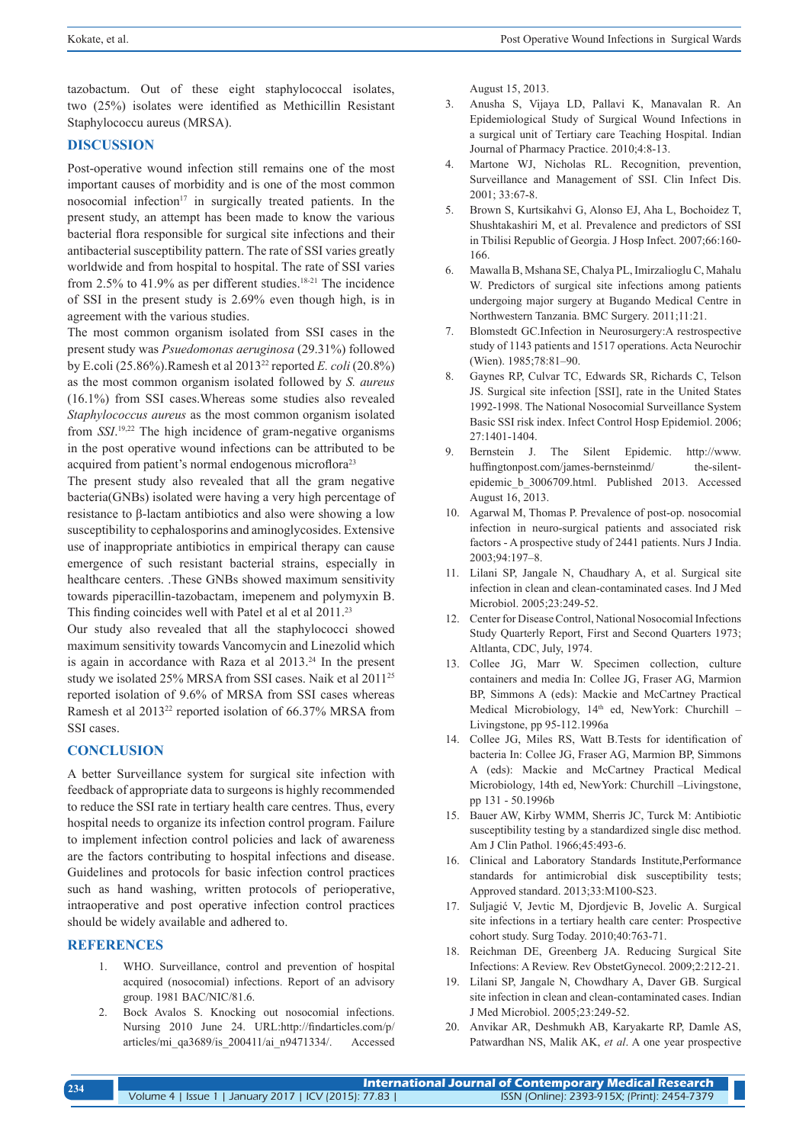tazobactum. Out of these eight staphylococcal isolates, two (25%) isolates were identified as Methicillin Resistant Staphylococcu aureus (MRSA).

# **DISCUSSION**

Post-operative wound infection still remains one of the most important causes of morbidity and is one of the most common nosocomial infection<sup>17</sup> in surgically treated patients. In the present study, an attempt has been made to know the various bacterial flora responsible for surgical site infections and their antibacterial susceptibility pattern. The rate of SSI varies greatly worldwide and from hospital to hospital. The rate of SSI varies from 2.5% to 41.9% as per different studies.<sup>18-21</sup> The incidence of SSI in the present study is 2.69% even though high, is in agreement with the various studies.

The most common organism isolated from SSI cases in the present study was *Psuedomonas aeruginosa* (29.31%) followed by E.coli (25.86%).Ramesh et al 201322 reported *E. coli* (20.8%) as the most common organism isolated followed by *S. aureus*  (16.1%) from SSI cases.Whereas some studies also revealed *Staphylococcus aureus* as the most common organism isolated from *SSI*. 19,22 The high incidence of gram-negative organisms in the post operative wound infections can be attributed to be acquired from patient's normal endogenous microflora<sup>23</sup>

The present study also revealed that all the gram negative bacteria(GNBs) isolated were having a very high percentage of resistance to β-lactam antibiotics and also were showing a low susceptibility to cephalosporins and aminoglycosides. Extensive use of inappropriate antibiotics in empirical therapy can cause emergence of such resistant bacterial strains, especially in healthcare centers. .These GNBs showed maximum sensitivity towards piperacillin-tazobactam, imepenem and polymyxin B. This finding coincides well with Patel et al et al 2011.<sup>23</sup>

Our study also revealed that all the staphylococci showed maximum sensitivity towards Vancomycin and Linezolid which is again in accordance with Raza et al 2013.24 In the present study we isolated 25% MRSA from SSI cases. Naik et al 201125 reported isolation of 9.6% of MRSA from SSI cases whereas Ramesh et al 201322 reported isolation of 66.37% MRSA from SSI cases.

## **CONCLUSION**

A better Surveillance system for surgical site infection with feedback of appropriate data to surgeons is highly recommended to reduce the SSI rate in tertiary health care centres. Thus, every hospital needs to organize its infection control program. Failure to implement infection control policies and lack of awareness are the factors contributing to hospital infections and disease. Guidelines and protocols for basic infection control practices such as hand washing, written protocols of perioperative, intraoperative and post operative infection control practices should be widely available and adhered to.

### **REFERENCES**

- 1. WHO. Surveillance, control and prevention of hospital acquired (nosocomial) infections. Report of an advisory group. 1981 BAC/NIC/81.6.
- 2. Bock Avalos S. Knocking out nosocomial infections. Nursing 2010 June 24. URL:http://findarticles.com/p/ articles/mi\_qa3689/is\_200411/ai\_n9471334/. Accessed

August 15, 2013.

- 3. Anusha S, Vijaya LD, Pallavi K, Manavalan R. An Epidemiological Study of Surgical Wound Infections in a surgical unit of Tertiary care Teaching Hospital. Indian Journal of Pharmacy Practice. 2010;4:8-13.
- 4. Martone WJ, Nicholas RL. Recognition, prevention, Surveillance and Management of SSI. Clin Infect Dis. 2001; 33:67-8.
- 5. Brown S, Kurtsikahvi G, Alonso EJ, Aha L, Bochoidez T, Shushtakashiri M, et al. Prevalence and predictors of SSI in Tbilisi Republic of Georgia. J Hosp Infect. 2007;66:160- 166.
- 6. Mawalla B, Mshana SE, Chalya PL, Imirzalioglu C, Mahalu W. Predictors of surgical site infections among patients undergoing major surgery at Bugando Medical Centre in Northwestern Tanzania. BMC Surgery. 2011;11:21.
- 7. Blomstedt GC.Infection in Neurosurgery:A restrospective study of 1143 patients and 1517 operations. Acta Neurochir (Wien). 1985;78:81–90.
- 8. Gaynes RP, Culvar TC, Edwards SR, Richards C, Telson JS. Surgical site infection [SSI], rate in the United States 1992-1998. The National Nosocomial Surveillance System Basic SSI risk index. Infect Control Hosp Epidemiol. 2006; 27:1401-1404.
- 9. Bernstein J. The Silent Epidemic. http://www. huffingtonpost.com/james-bernsteinmd/ the-silentepidemic\_b\_3006709.html. Published 2013. Accessed August 16, 2013.
- 10. Agarwal M, Thomas P. Prevalence of post-op. nosocomial infection in neuro-surgical patients and associated risk factors - A prospective study of 2441 patients. Nurs J India. 2003;94:197–8.
- 11. Lilani SP, Jangale N, Chaudhary A, et al. Surgical site infection in clean and clean-contaminated cases. Ind J Med Microbiol. 2005;23:249-52.
- 12. Center for Disease Control, National Nosocomial Infections Study Quarterly Report, First and Second Quarters 1973; Altlanta, CDC, July, 1974.
- 13. Collee JG, Marr W. Specimen collection, culture containers and media In: Collee JG, Fraser AG, Marmion BP, Simmons A (eds): Mackie and McCartney Practical Medical Microbiology, 14<sup>th</sup> ed, NewYork: Churchill – Livingstone, pp 95-112.1996a
- 14. Collee JG, Miles RS, Watt B.Tests for identification of bacteria In: Collee JG, Fraser AG, Marmion BP, Simmons A (eds): Mackie and McCartney Practical Medical Microbiology, 14th ed, NewYork: Churchill –Livingstone, pp 131 - 50.1996b
- 15. Bauer AW, Kirby WMM, Sherris JC, Turck M: Antibiotic susceptibility testing by a standardized single disc method. Am J Clin Pathol. 1966;45:493-6.
- 16. Clinical and Laboratory Standards Institute,Performance standards for antimicrobial disk susceptibility tests; Approved standard. 2013;33:M100-S23.
- 17. Suljagić V, Jevtic M, Djordjevic B, Jovelic A. Surgical site infections in a tertiary health care center: Prospective cohort study. Surg Today. 2010;40:763-71.
- 18. Reichman DE, Greenberg JA. Reducing Surgical Site Infections: A Review. Rev ObstetGynecol. 2009;2:212-21.
- 19. Lilani SP, Jangale N, Chowdhary A, Daver GB. Surgical site infection in clean and clean-contaminated cases. Indian J Med Microbiol. 2005;23:249-52.
- 20. Anvikar AR, Deshmukh AB, Karyakarte RP, Damle AS, Patwardhan NS, Malik AK, *et al*. A one year prospective